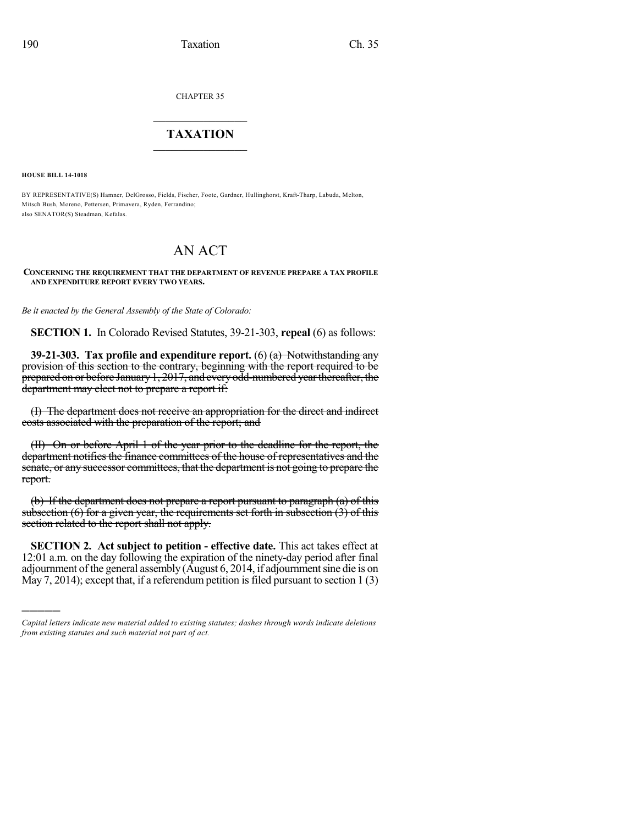CHAPTER 35

## $\overline{\phantom{a}}$  . The set of the set of the set of the set of the set of the set of the set of the set of the set of the set of the set of the set of the set of the set of the set of the set of the set of the set of the set o **TAXATION**  $\_$

**HOUSE BILL 14-1018**

)))))

BY REPRESENTATIVE(S) Hamner, DelGrosso, Fields, Fischer, Foote, Gardner, Hullinghorst, Kraft-Tharp, Labuda, Melton, Mitsch Bush, Moreno, Pettersen, Primavera, Ryden, Ferrandino; also SENATOR(S) Steadman, Kefalas.

## AN ACT

**CONCERNING THE REQUIREMENT THAT THE DEPARTMENT OF REVENUE PREPARE A TAX PROFILE AND EXPENDITURE REPORT EVERY TWO YEARS.**

*Be it enacted by the General Assembly of the State of Colorado:*

**SECTION 1.** In Colorado Revised Statutes, 39-21-303, **repeal** (6) as follows:

**39-21-303. Tax profile and expenditure report.** (6) (a) Notwithstanding any provision of this section to the contrary, beginning with the report required to be prepared on or before January 1, 2017, and every odd-numbered year thereafter, the department may elect not to prepare a report if:

(I) The department does not receive an appropriation for the direct and indirect costs associated with the preparation of the report; and

(II) On or before April 1 of the year prior to the deadline for the report, the department notifies the finance committees of the house of representatives and the senate, or any successor committees, that the department is not going to prepare the report.

(b) If the department does not prepare a report pursuant to paragraph (a) of this subsection  $(6)$  for a given year, the requirements set forth in subsection  $(3)$  of this section related to the report shall not apply.

**SECTION 2. Act subject to petition - effective date.** This act takes effect at 12:01 a.m. on the day following the expiration of the ninety-day period after final adjournment of the general assembly (August 6, 2014, if adjournmentsine die is on May 7, 2014); except that, if a referendum petition is filed pursuant to section  $1(3)$ 

*Capital letters indicate new material added to existing statutes; dashes through words indicate deletions from existing statutes and such material not part of act.*